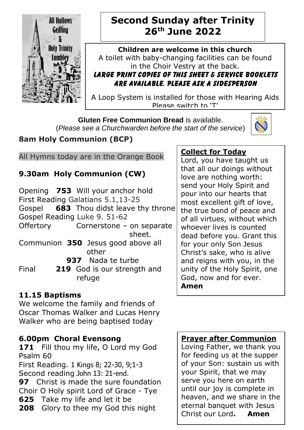

## **Second Sunday after Trinity 26th June 2022**

**Children are welcome in this church** A toilet with baby-changing facilities can be found in the Choir Vestry at the back.

**LARGE PRINT COPIES OF THIS SHEET & SERVICE BOOKLETS ARE AVAILABLE. PLEASE ASK A SIDESPERSON**

A Loop System is installed for those with Hearing Aids Please switch to 'T'

**Gluten Free Communion Bread** is available. (*Please see a Churchwarden before the start of the service*)



### **8am Holy Communion (BCP)**

All Hymns today are in the Orange Book

#### **9.30am Holy Communion (CW)**

Opening **753** Will your anchor hold First Reading Galatians 5.1,13-25 Gospel **683** Thou didst leave thy throne Gospel Reading Luke 9. 51-62 Offertory Cornerstone – on separate sheet. Communion **350** Jesus good above all other **937** Nada te turbe Final **219** God is our strength and refuge

#### **11.15 Baptisms**

We welcome the family and friends of Oscar Thomas Walker and Lucas Henry Walker who are being baptised today

#### **6.00pm Choral Evensong**

171 Fill thou my life, O Lord my God Psalm 60

First Reading. 1 Kings 8; 22-30, 9;1-3 Second reading .John 13: 21-end.

**97** Christ is made the sure foundation Choir O Holy spirit Lord of Grace - Tye

- **625** Take my life and let it be
- **208** Glory to thee my God this night

#### **Collect for Today**

Lord, you have taught us that all our doings without love are nothing worth: send your Holy Spirit and pour into our hearts that most excellent gift of love, the true bond of peace and of all virtues, without which whoever lives is counted dead before you. Grant this for your only Son Jesus Christ's sake, who is alive and reigns with you, in the unity of the Holy Spirit, one God, now and for ever. **Amen** 

#### **Prayer after Communion**

Loving Father, we thank you for feeding us at the supper of your Son: sustain us with your Spirit, that we may serve you here on earth until our joy is complete in heaven, and we share in the eternal banquet with Jesus Christ our Lord**. Amen**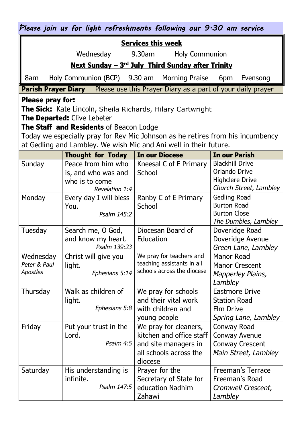|                                                                                                                                                                                                                                                                                                                               |                                                         | Please join us for light refreshments following our $9.30$ am service                                          |                                                                                             |
|-------------------------------------------------------------------------------------------------------------------------------------------------------------------------------------------------------------------------------------------------------------------------------------------------------------------------------|---------------------------------------------------------|----------------------------------------------------------------------------------------------------------------|---------------------------------------------------------------------------------------------|
| <b>Services this week</b>                                                                                                                                                                                                                                                                                                     |                                                         |                                                                                                                |                                                                                             |
| $9.30$ am<br>Wednesday<br><b>Holy Communion</b>                                                                                                                                                                                                                                                                               |                                                         |                                                                                                                |                                                                                             |
| <u> Next Sunday – 3<sup>rd</sup> July Third Sunday after Trinity</u>                                                                                                                                                                                                                                                          |                                                         |                                                                                                                |                                                                                             |
| 8am                                                                                                                                                                                                                                                                                                                           |                                                         | Holy Communion (BCP) 9.30 am Morning Praise                                                                    | 6pm<br>Evensong                                                                             |
| Please use this Prayer Diary as a part of your daily prayer<br><b>Parish Prayer Diary</b>                                                                                                                                                                                                                                     |                                                         |                                                                                                                |                                                                                             |
| Please pray for:<br><b>The Sick:</b> Kate Lincoln, Sheila Richards, Hilary Cartwright<br>The Departed: Clive Lebeter<br><b>The Staff and Residents</b> of Beacon Lodge<br>Today we especially pray for Rev Mic Johnson as he retires from his incumbency<br>at Gedling and Lambley. We wish Mic and Ani well in their future. |                                                         |                                                                                                                |                                                                                             |
|                                                                                                                                                                                                                                                                                                                               | Thought for Today   In our Diocese                      |                                                                                                                | <b>In our Parish</b>                                                                        |
| Sunday                                                                                                                                                                                                                                                                                                                        | is, and who was and<br>who is to come<br>Revelation 1:4 | Peace from him who   Kneesal C of E Primary  <br>School                                                        | <b>Blackhill Drive</b><br>Orlando Drive<br><b>Highclere Drive</b><br>Church Street, Lambley |
| Monday                                                                                                                                                                                                                                                                                                                        | Every day I will bless<br>You.<br>Psalm 145:2           | Ranby C of E Primary<br>School                                                                                 | <b>Gedling Road</b><br><b>Burton Road</b><br><b>Burton Close</b><br>The Dumbles, Lambley    |
| Tuesday                                                                                                                                                                                                                                                                                                                       | Search me, O God,<br>and know my heart.<br>Psalm 139:23 | Diocesan Board of<br>Education                                                                                 | Doveridge Road<br>Doveridge Avenue<br>Green Lane, Lambley                                   |
| Wednesday<br>Peter & Paul<br>Apostles                                                                                                                                                                                                                                                                                         | Christ will give you<br>light.<br>Ephesians 5:14        | We pray for teachers and<br>teaching assistants in all<br>schools across the diocese                           | Manor Road<br><b>Manor Crescent</b><br>Mapperley Plains,<br>Lambley                         |
| Thursday                                                                                                                                                                                                                                                                                                                      | Walk as children of<br>light.<br>Ephesians 5:8          | We pray for schools<br>and their vital work<br>with children and<br>young people                               | <b>Eastmore Drive</b><br><b>Station Road</b><br>Elm Drive<br>Spring Lane, Lambley           |
| Friday                                                                                                                                                                                                                                                                                                                        | Put your trust in the<br>Lord.<br>Psalm 4:5             | We pray for cleaners,<br>kitchen and office staff<br>and site managers in<br>all schools across the<br>diocese | Conway Road<br>Conway Avenue<br><b>Conway Crescent</b><br>Main Street, Lambley              |
| Saturday                                                                                                                                                                                                                                                                                                                      | His understanding is<br>infinite.<br>Psalm 147:5        | Prayer for the<br>Secretary of State for<br>education Nadhim<br>Zahawi                                         | Freeman's Terrace<br>Freeman's Road<br>Cromwell Crescent,<br>Lambley                        |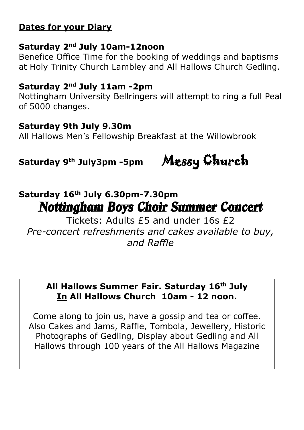#### **Dates for your Diary**

#### **Saturday 2nd July 10am-12noon**

Benefice Office Time for the booking of weddings and baptisms at Holy Trinity Church Lambley and All Hallows Church Gedling.

### **Saturday 2nd July 11am -2pm**

Nottingham University Bellringers will attempt to ring a full Peal of 5000 changes.

#### **Saturday 9th July 9.30m**

All Hallows Men's Fellowship Breakfast at the Willowbrook

**Saturday 9th July3pm -5pm** Messy Church

 $\overline{a}$ 



# **Saturday 16th July 6.30pm-7.30pm**  *Nottingham Boys Choir Summer Concert*

Tickets: Adults £5 and under 16s £2 *Pre-concert refreshments and cakes available to buy, and Raffle* 

#### **All Hallows Summer Fair. Saturday 16th July In All Hallows Church 10am - 12 noon.**

Come along to join us, have a gossip and tea or coffee. Also Cakes and Jams, Raffle, Tombola, Jewellery, Historic Photographs of Gedling, Display about Gedling and All Hallows through 100 years of the All Hallows Magazine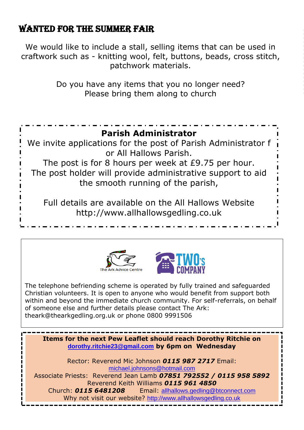## WANTED for the Summer Fair

We would like to include a stall, selling items that can be used in craftwork such as - knitting wool, felt, buttons, beads, cross stitch, patchwork materials.

> Do you have any items that you no longer need? Please bring them along to church





The telephone befriending scheme is operated by fully trained and safeguarded Christian volunteers. It is open to anyone who would benefit from support both within and beyond the immediate church community. For self-referrals, on behalf of someone else and further details please contact The Ark: theark@thearkgedling.org.uk or phone 0800 9991506

**Items for the next Pew Leaflet should reach Dorothy Ritchie on [dorothy.ritchie23@gmail.com](mailto:dorothy.ritchie23@gmail.com) by 6pm on Wednesday** 

Rector: Reverend Mic Johnson *0115 987 2717* Email: [michael.johnsons@hotmail.com](mailto:michael.johnsons@hotmail.com) Associate Priests: Reverend Jean Lamb *07851 792552 / 0115 958 5892* Reverend Keith Williams *0115 961 4850* Church: *0115 6481208* Email: [allhallows.gedling@btconnect.com](mailto:allhallows.gedling@btconnect.com) Why not visit our website? [http://www.allhallowsgedling.co.uk](http://www.allhallowsgedling.co.uk/)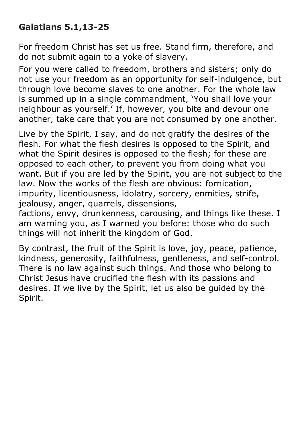#### **Galatians 5.1,13-25**

For freedom Christ has set us free. Stand firm, therefore, and do not submit again to a yoke of slavery.

For you were called to freedom, brothers and sisters; only do not use your freedom as an opportunity for self-indulgence, but through love become slaves to one another. For the whole law is summed up in a single commandment, 'You shall love your neighbour as yourself.' If, however, you bite and devour one another, take care that you are not consumed by one another.

Live by the Spirit, I say, and do not gratify the desires of the flesh. For what the flesh desires is opposed to the Spirit, and what the Spirit desires is opposed to the flesh; for these are opposed to each other, to prevent you from doing what you want. But if you are led by the Spirit, you are not subject to the law. Now the works of the flesh are obvious: fornication, impurity, licentiousness, idolatry, sorcery, enmities, strife, jealousy, anger, quarrels, dissensions,

factions, envy, drunkenness, carousing, and things like these. I am warning you, as I warned you before: those who do such things will not inherit the kingdom of God.

By contrast, the fruit of the Spirit is love, joy, peace, patience, kindness, generosity, faithfulness, gentleness, and self-control. There is no law against such things. And those who belong to Christ Jesus have crucified the flesh with its passions and desires. If we live by the Spirit, let us also be guided by the Spirit.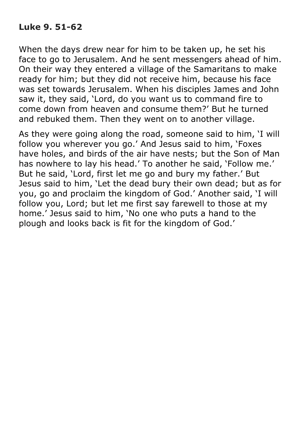#### **Luke 9. 51-62**

When the days drew near for him to be taken up, he set his face to go to Jerusalem. And he sent messengers ahead of him. On their way they entered a village of the Samaritans to make ready for him; but they did not receive him, because his face was set towards Jerusalem. When his disciples James and John saw it, they said, 'Lord, do you want us to command fire to come down from heaven and consume them?' But he turned and rebuked them. Then they went on to another village.

As they were going along the road, someone said to him, 'I will follow you wherever you go.' And Jesus said to him, 'Foxes have holes, and birds of the air have nests; but the Son of Man has nowhere to lay his head.' To another he said, 'Follow me.' But he said, 'Lord, first let me go and bury my father.' But Jesus said to him, 'Let the dead bury their own dead; but as for you, go and proclaim the kingdom of God.' Another said, 'I will follow you, Lord; but let me first say farewell to those at my home.' Jesus said to him, 'No one who puts a hand to the plough and looks back is fit for the kingdom of God.'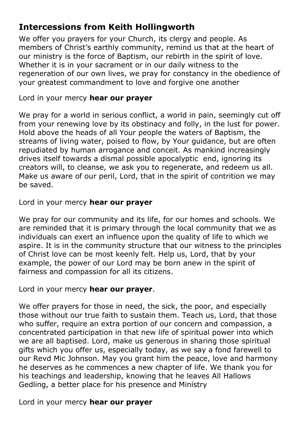## **Intercessions from Keith Hollingworth**

We offer you prayers for your Church, its clergy and people. As members of Christ's earthly community, remind us that at the heart of our ministry is the force of Baptism, our rebirth in the spirit of love. Whether it is in your sacrament or in our daily witness to the regeneration of our own lives, we pray for constancy in the obedience of your greatest commandment to love and forgive one another

Lord in your mercy **hear our prayer**

We pray for a world in serious conflict, a world in pain, seemingly cut off from your renewing love by its obstinacy and folly, in the lust for power. Hold above the heads of all Your people the waters of Baptism, the streams of living water, poised to flow, by Your guidance, but are often repudiated by human arrogance and conceit. As mankind increasingly drives itself towards a dismal possible apocalyptic end, ignoring its creators will, to cleanse, we ask you to regenerate, and redeem us all. Make us aware of our peril, Lord, that in the spirit of contrition we may be saved.

Lord in your mercy **hear our prayer**

We pray for our community and its life, for our homes and schools. We are reminded that it is primary through the local community that we as individuals can exert an influence upon the quality of life to which we aspire. It is in the community structure that our witness to the principles of Christ love can be most keenly felt. Help us, Lord, that by your example, the power of our Lord may be born anew in the spirit of fairness and compassion for all its citizens.

Lord in your mercy **hear our prayer**.

We offer prayers for those in need, the sick, the poor, and especially those without our true faith to sustain them. Teach us, Lord, that those who suffer, require an extra portion of our concern and compassion, a concentrated participation in that new life of spiritual power into which we are all baptised. Lord, make us generous in sharing those spiritual gifts which you offer us, especially today, as we say a fond farewell to our Revd Mic Johnson. May you grant him the peace, love and harmony he deserves as he commences a new chapter of life. We thank you for his teachings and leadership, knowing that he leaves All Hallows Gedling, a better place for his presence and Ministry

Lord in your mercy **hear our prayer**